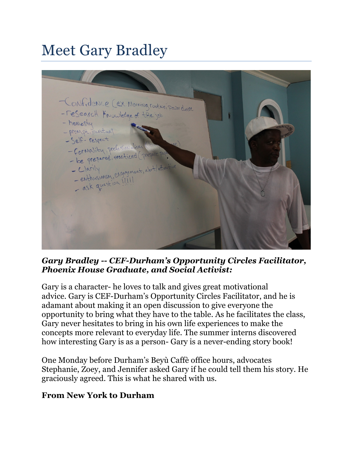# Meet Gary Bradley



#### *Gary Bradley -- CEF-Durham's Opportunity Circles Facilitator, Phoenix House Graduate, and Social Activist:*

Gary is a character- he loves to talk and gives great motivational advice. Gary is CEF-Durham's Opportunity Circles Facilitator, and he is adamant about making it an open discussion to give everyone the opportunity to bring what they have to the table. As he facilitates the class, Gary never hesitates to bring in his own life experiences to make the concepts more relevant to everyday life. The summer interns discovered how interesting Gary is as a person- Gary is a never-ending story book!

One Monday before Durham's Beyù Caffè office hours, advocates Stephanie, Zoey, and Jennifer asked Gary if he could tell them his story. He graciously agreed. This is what he shared with us.

# **From New York to Durham**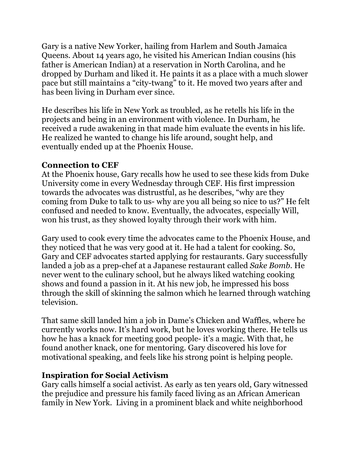Gary is a native New Yorker, hailing from Harlem and South Jamaica Queens. About 14 years ago, he visited his American Indian cousins (his father is American Indian) at a reservation in North Carolina, and he dropped by Durham and liked it. He paints it as a place with a much slower pace but still maintains a "city-twang" to it. He moved two years after and has been living in Durham ever since.

He describes his life in New York as troubled, as he retells his life in the projects and being in an environment with violence. In Durham, he received a rude awakening in that made him evaluate the events in his life. He realized he wanted to change his life around, sought help, and eventually ended up at the Phoenix House.

#### **Connection to CEF**

At the Phoenix house, Gary recalls how he used to see these kids from Duke University come in every Wednesday through CEF. His first impression towards the advocates was distrustful, as he describes, "why are they coming from Duke to talk to us- why are you all being so nice to us?" He felt confused and needed to know. Eventually, the advocates, especially Will, won his trust, as they showed loyalty through their work with him.

Gary used to cook every time the advocates came to the Phoenix House, and they noticed that he was very good at it. He had a talent for cooking. So, Gary and CEF advocates started applying for restaurants. Gary successfully landed a job as a prep-chef at a Japanese restaurant called *Sake Bomb.* He never went to the culinary school, but he always liked watching cooking shows and found a passion in it. At his new job, he impressed his boss through the skill of skinning the salmon which he learned through watching television.

That same skill landed him a job in Dame's Chicken and Waffles, where he currently works now. It's hard work, but he loves working there. He tells us how he has a knack for meeting good people- it's a magic. With that, he found another knack, one for mentoring. Gary discovered his love for motivational speaking, and feels like his strong point is helping people.

### **Inspiration for Social Activism**

Gary calls himself a social activist. As early as ten years old, Gary witnessed the prejudice and pressure his family faced living as an African American family in New York. Living in a prominent black and white neighborhood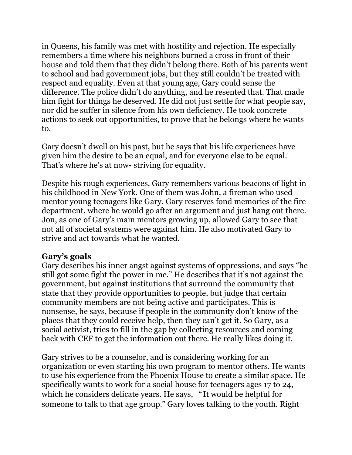in Queens, his family was met with hostility and rejection. He especially remembers a time where his neighbors burned a cross in front of their house and told them that they didn't belong there. Both of his parents went to school and had government jobs, but they still couldn't be treated with respect and equality. Even at that young age, Gary could sense the difference. The police didn't do anything, and he resented that. That made him fight for things he deserved. He did not just settle for what people say, nor did he suffer in silence from his own deficiency. He took concrete actions to seek out opportunities, to prove that he belongs where he wants to.

Gary doesn't dwell on his past, but he says that his life experiences have given him the desire to be an equal, and for everyone else to be equal. That's where he's at now- striving for equality.

Despite his rough experiences, Gary remembers various beacons of light in his childhood in New York. One of them was John, a fireman who used mentor young teenagers like Gary. Gary reserves fond memories of the fire department, where he would go after an argument and just hang out there. Jon, as one of Gary's main mentors growing up, allowed Gary to see that not all of societal systems were against him. He also motivated Gary to strive and act towards what he wanted.

#### **Gary's goals**

Gary describes his inner angst against systems of oppressions, and says "he still got some fight the power in me." He describes that it's not against the government, but against institutions that surround the community that state that they provide opportunities to people, but judge that certain community members are not being active and participates. This is nonsense, he says, because if people in the community don't know of the places that they could receive help, then they can't get it. So Gary, as a social activist, tries to fill in the gap by collecting resources and coming back with CEF to get the information out there. He really likes doing it.

Gary strives to be a counselor, and is considering working for an organization or even starting his own program to mentor others. He wants to use his experience from the Phoenix House to create a similar space. He specifically wants to work for a social house for teenagers ages 17 to 24, which he considers delicate years. He says, "It would be helpful for someone to talk to that age group." Gary loves talking to the youth. Right